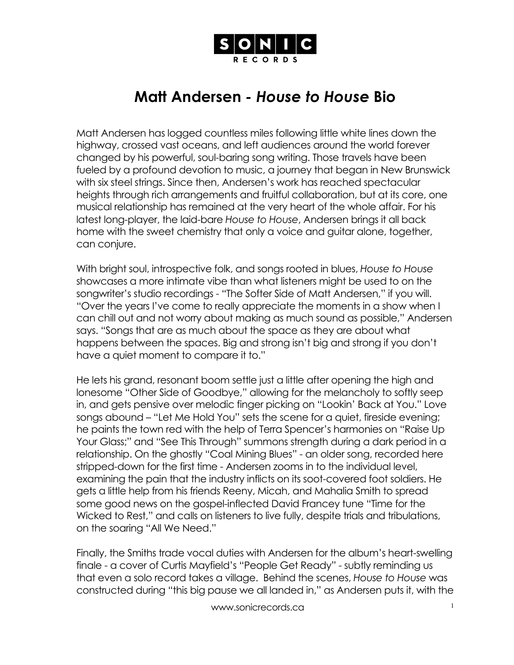

## **Matt Andersen** *- House to House* **Bio**

Matt Andersen has logged countless miles following little white lines down the highway, crossed vast oceans, and left audiences around the world forever changed by his powerful, soul-baring song writing. Those travels have been fueled by a profound devotion to music, a journey that began in New Brunswick with six steel strings. Since then, Andersen's work has reached spectacular heights through rich arrangements and fruitful collaboration, but at its core, one musical relationship has remained at the very heart of the whole affair. For his latest long-player, the laid-bare *House to House*, Andersen brings it all back home with the sweet chemistry that only a voice and guitar alone, together, can conjure.

With bright soul, introspective folk, and songs rooted in blues, *House to House* showcases a more intimate vibe than what listeners might be used to on the songwriter's studio recordings - "The Softer Side of Matt Andersen," if you will. "Over the years I've come to really appreciate the moments in a show when I can chill out and not worry about making as much sound as possible," Andersen says. "Songs that are as much about the space as they are about what happens between the spaces. Big and strong isn't big and strong if you don't have a quiet moment to compare it to."

He lets his grand, resonant boom settle just a little after opening the high and lonesome "Other Side of Goodbye," allowing for the melancholy to softly seep in, and gets pensive over melodic finger picking on "Lookin' Back at You." Love songs abound – "Let Me Hold You" sets the scene for a quiet, fireside evening; he paints the town red with the help of Terra Spencer's harmonies on "Raise Up Your Glass;" and "See This Through" summons strength during a dark period in a relationship. On the ghostly "Coal Mining Blues" - an older song, recorded here stripped-down for the first time - Andersen zooms in to the individual level, examining the pain that the industry inflicts on its soot-covered foot soldiers. He gets a little help from his friends Reeny, Micah, and Mahalia Smith to spread some good news on the gospel-inflected David Francey tune "Time for the Wicked to Rest," and calls on listeners to live fully, despite trials and tribulations, on the soaring "All We Need."

Finally, the Smiths trade vocal duties with Andersen for the album's heart-swelling finale - a cover of Curtis Mayfield's "People Get Ready" - subtly reminding us that even a solo record takes a village. Behind the scenes, *House to House* was constructed during "this big pause we all landed in," as Andersen puts it, with the